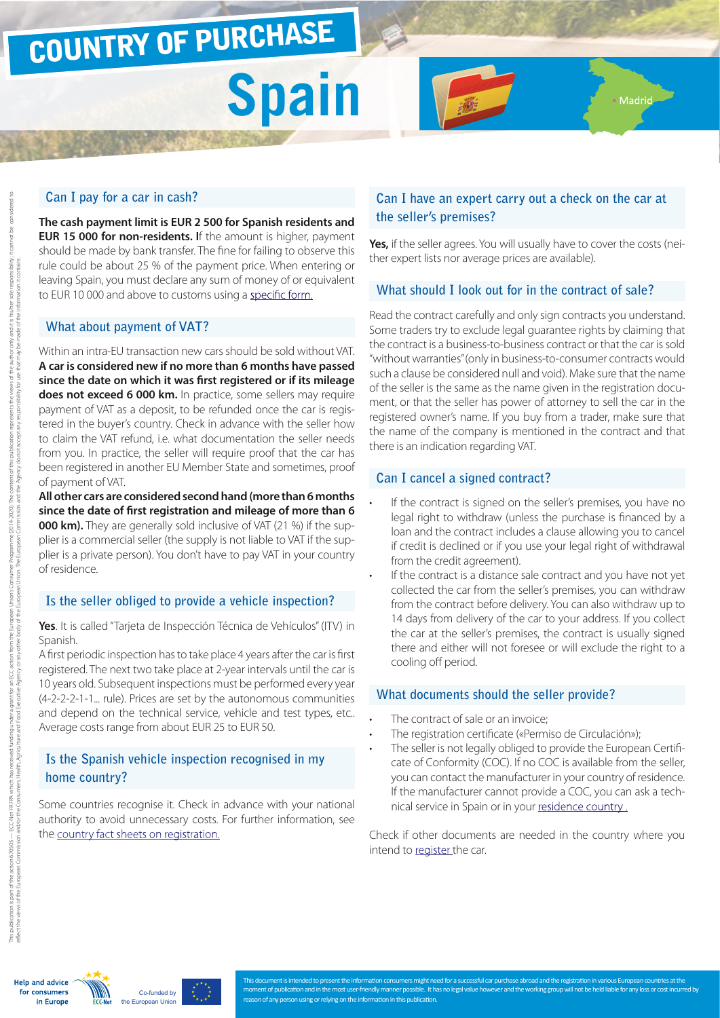### COUNTRY OF PURCHASE

# **Spain**

#### **Can I pay for a car in cash?**

**The cash payment limit is EUR 2 500 for Spanish residents and EUR 15 000 for non-residents. I**f the amount is higher, payment should be made by bank transfer. The fine for failing to observe this rule could be about 25 % of the payment price. When entering or leaving Spain, you must declare any sum of money of or equivalent to EUR 10 000 and above to customs using a [specific form.](http://www.agenciatributaria.es/static_files/AEAT/Aduanas/Contenidos_Privados/Declaracion_de_Movimientos_de_Medios_de_Pago-_S1/Normativa/plant_mods1.pdf)

#### **What about payment of VAT?**

Within an intra-EU transaction new cars should be sold without VAT. **A car is considered new if no more than 6 months have passed since the date on which it was first registered or if its mileage does not exceed 6 000 km.** In practice, some sellers may require payment of VAT as a deposit, to be refunded once the car is registered in the buyer's country. Check in advance with the seller how to claim the VAT refund, i.e. what documentation the seller needs from you. In practice, the seller will require proof that the car has been registered in another EU Member State and sometimes, proof of payment of VAT.

**All other cars are considered second hand (more than 6 months since the date of first registration and mileage of more than 6 000 km).** They are generally sold inclusive of VAT (21 %) if the supplier is a commercial seller (the supply is not liable to VAT if the supplier is a private person). You don't have to pay VAT in your country of residence.

#### **Is the seller obliged to provide a vehicle inspection?**

**Yes**. It is called "Tarjeta de Inspección Técnica de Vehículos" (ITV) in Spanish.

A first periodic inspection has to take place 4 years after the car is first registered. The next two take place at 2-year intervals until the car is 10 years old. Subsequent inspections must be performed every year (4-2-2-2-1-1... rule). Prices are set by the autonomous communities and depend on the technical service, vehicle and test types, etc.. Average costs range from about EUR 25 to EUR 50.

#### **Is the Spanish vehicle inspection recognised in my home country?**

Some countries recognise it. Check in advance with your national authority to avoid unnecessary costs. For further information, see the [country fact sheets on registration.](http://www.europe-consommateurs.eu/en/consumer-topics/on-the-road/buying-a-car/cross-border-car-purchase-and-registration/)

#### **Can I have an expert carry out a check on the car at the seller's premises?**

Madrid-

**Yes,** if the seller agrees. You will usually have to cover the costs (neither expert lists nor average prices are available).

#### **What should I look out for in the contract of sale?**

Read the contract carefully and only sign contracts you understand. Some traders try to exclude legal guarantee rights by claiming that the contract is a business-to-business contract or that the car is sold "without warranties" (only in business-to-consumer contracts would such a clause be considered null and void). Make sure that the name of the seller is the same as the name given in the registration document, or that the seller has power of attorney to sell the car in the registered owner's name. If you buy from a trader, make sure that the name of the company is mentioned in the contract and that there is an indication regarding VAT.

#### **Can I cancel a signed contract?**

- If the contract is signed on the seller's premises, you have no legal right to withdraw (unless the purchase is financed by a loan and the contract includes a clause allowing you to cancel if credit is declined or if you use your legal right of withdrawal from the credit agreement).
- If the contract is a distance sale contract and you have not yet collected the car from the seller's premises, you can withdraw from the contract before delivery. You can also withdraw up to 14 days from delivery of the car to your address. If you collect the car at the seller's premises, the contract is usually signed there and either will not foresee or will exclude the right to a cooling off period.

#### **What documents should the seller provide?**

- The contract of sale or an invoice;
- The registration certificate («Permiso de Circulación»);
- The seller is not legally obliged to provide the European Certificate of Conformity (COC). If no COC is available from the seller, you can contact the manufacturer in your country of residence. If the manufacturer cannot provide a COC, you can ask a technical service in Spain or in your residence country.

Check if other documents are needed in the country where you intend to [register](http://www.europe-consommateurs.eu/en/consumer-topics/on-the-road/buying-a-car/cross-border-car-purchase-and-registration/) the car.